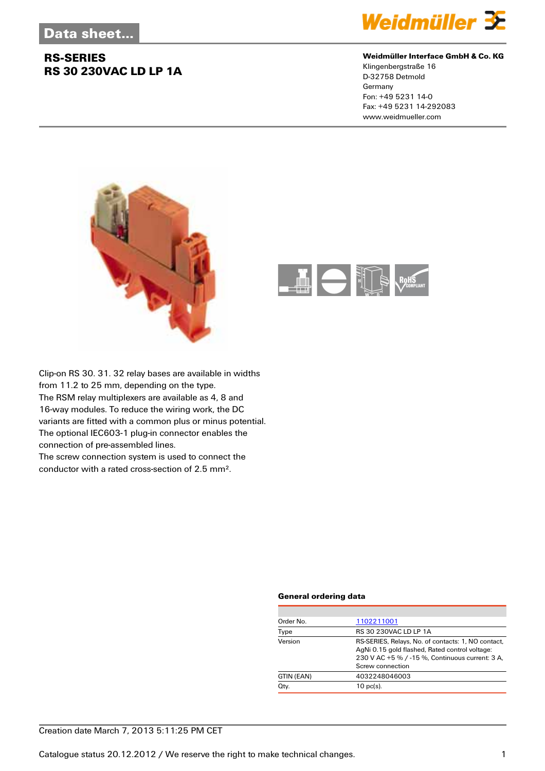## **RS-SERIES RS 30 230VAC LD LP 1A**



#### **Weidmüller Interface GmbH & Co. KG**

Klingenbergstraße 16 D-32758 Detmold Germany Fon: +49 5231 14-0 Fax: +49 5231 14-292083 www.weidmueller.com





Clip-on RS 30. 31. 32 relay bases are available in widths from 11.2 to 25 mm, depending on the type. The RSM relay multiplexers are available as 4, 8 and 16-way modules. To reduce the wiring work, the DC variants are fitted with a common plus or minus potential. The optional IEC603-1 plug-in connector enables the connection of pre-assembled lines.

The screw connection system is used to connect the conductor with a rated cross-section of 2.5 mm².

#### **General ordering data**

| Order No.  | 1102211001                                                                                                                                                                  |  |  |
|------------|-----------------------------------------------------------------------------------------------------------------------------------------------------------------------------|--|--|
| Type       | RS 30 230VAC LD LP 1A                                                                                                                                                       |  |  |
| Version    | RS-SERIES, Relays, No. of contacts: 1, NO contact,<br>AgNi 0.15 gold flashed, Rated control voltage:<br>230 V AC +5 % / -15 %, Continuous current: 3 A,<br>Screw connection |  |  |
| GTIN (EAN) | 4032248046003                                                                                                                                                               |  |  |
| Qty.       | $10$ pc(s).                                                                                                                                                                 |  |  |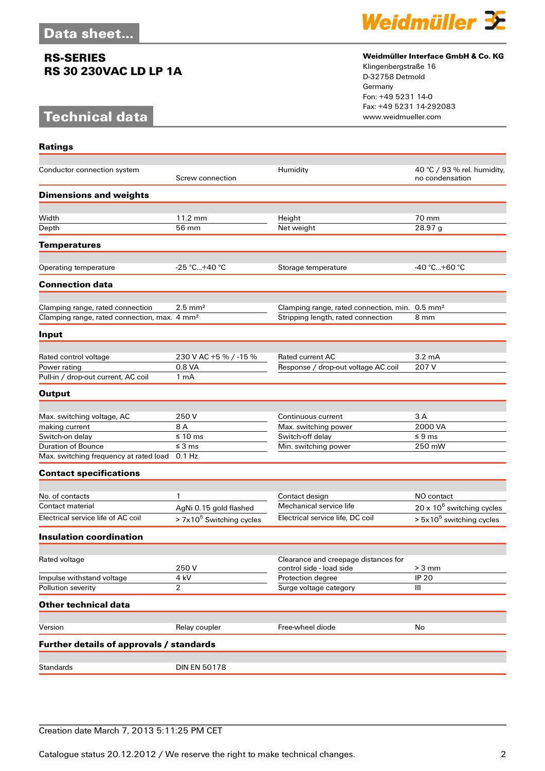## **RS-SERIES RS 30 230VAC LD LP 1A**

# **Technical data**



#### **Weidmüller Interface GmbH & Co. KG**

Klingenbergstraße 16 D-32758 Detmold Germany Fon: +49 5231 14-0 Fax: +49 5231 14-292083

| <b>Ratings</b>                                           |                                                      |                                                                  |                                                |
|----------------------------------------------------------|------------------------------------------------------|------------------------------------------------------------------|------------------------------------------------|
| Conductor connection system                              | Screw connection                                     | Humidity                                                         | 40 °C / 93 % rel. humidity,<br>no condensation |
| <b>Dimensions and weights</b>                            |                                                      |                                                                  |                                                |
| Width                                                    | 11.2 mm                                              | Height                                                           | 70 mm                                          |
| Depth                                                    | 56 mm                                                | Net weight                                                       | 28.97 g                                        |
| <b>Temperatures</b>                                      |                                                      |                                                                  |                                                |
| Operating temperature                                    | $-25 °C+40 °C$                                       | Storage temperature                                              | -40 °C…+60 °C                                  |
| <b>Connection data</b>                                   |                                                      |                                                                  |                                                |
| Clamping range, rated connection                         | $2.5 \text{ mm}^2$                                   | Clamping range, rated connection, min. 0.5 mm <sup>2</sup>       |                                                |
| Clamping range, rated connection, max. 4 mm <sup>2</sup> |                                                      | Stripping length, rated connection                               | 8 mm                                           |
| Input                                                    |                                                      |                                                                  |                                                |
|                                                          |                                                      | Rated current AC                                                 | $3.2 \text{ mA}$                               |
| Rated control voltage<br>Power rating                    | 230 V AC +5 % / -15 %<br>0.8 VA                      | Response / drop-out voltage AC coil                              | 207 V                                          |
| Pull-in / drop-out current, AC coil                      | 1 <sub>m</sub> A                                     |                                                                  |                                                |
| <b>Output</b>                                            |                                                      |                                                                  |                                                |
|                                                          |                                                      |                                                                  |                                                |
| Max. switching voltage, AC                               | 250 V                                                | Continuous current                                               | 3 A                                            |
| making current                                           | 8 A                                                  | Max. switching power                                             | 2000 VA                                        |
| Switch-on delay                                          | $\leq 10 \text{ ms}$                                 | Switch-off delay                                                 | $\leq 9$ ms                                    |
| <b>Duration of Bounce</b>                                | $\leq$ 3 ms                                          | Min. switching power                                             | 250 mW                                         |
| Max. switching frequency at rated load                   | $0.1$ Hz                                             |                                                                  |                                                |
| <b>Contact specifications</b>                            |                                                      |                                                                  |                                                |
| No. of contacts                                          | 1                                                    | Contact design                                                   | NO contact                                     |
| Contact material                                         |                                                      | Mechanical service life                                          | 20 x 10 <sup>6</sup> switching cycles          |
| Electrical service life of AC coil                       | AgNi 0.15 gold flashed<br>$> 7x105$ Switching cycles | Electrical service life, DC coil                                 | $> 5x105$ switching cycles                     |
| <b>Insulation coordination</b>                           |                                                      |                                                                  |                                                |
|                                                          |                                                      |                                                                  |                                                |
| Rated voltage                                            | 250V                                                 | Clearance and creepage distances for<br>control side - load side | $> 3$ mm                                       |
| Impulse withstand voltage                                | 4 kV                                                 | Protection degree                                                | <b>IP 20</b>                                   |
| Pollution severity                                       | 2                                                    | Surge voltage category                                           | Ш                                              |
| <b>Other technical data</b>                              |                                                      |                                                                  |                                                |
|                                                          |                                                      |                                                                  |                                                |
| Version                                                  | Relay coupler                                        | Free-wheel diode                                                 | No                                             |
| Further details of approvals / standards                 |                                                      |                                                                  |                                                |
| <b>Standards</b>                                         | <b>DIN EN 50178</b>                                  |                                                                  |                                                |